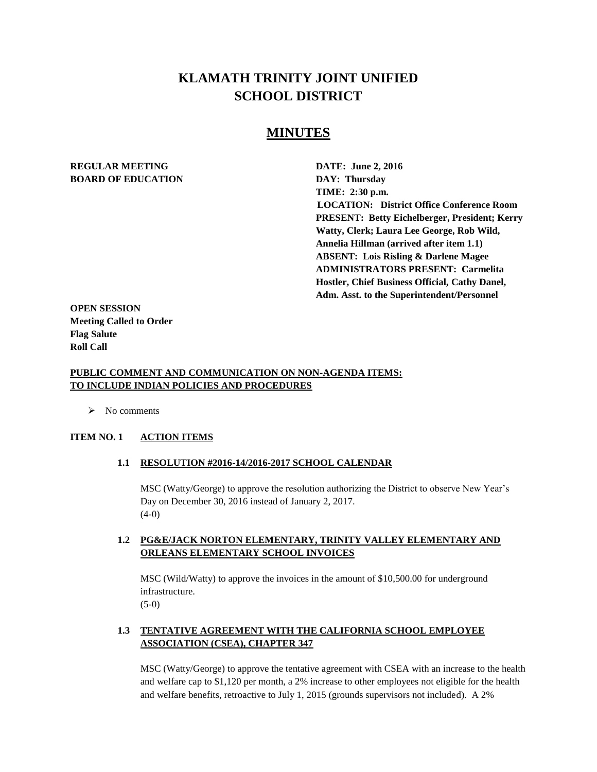# **KLAMATH TRINITY JOINT UNIFIED SCHOOL DISTRICT**

## **MINUTES**

## **REGULAR MEETING DATE: June 2, 2016 BOARD OF EDUCATION DAY: Thursday**

**TIME: 2:30 p.m. LOCATION: District Office Conference Room PRESENT: Betty Eichelberger, President; Kerry Watty, Clerk; Laura Lee George, Rob Wild, Annelia Hillman (arrived after item 1.1) ABSENT: Lois Risling & Darlene Magee ADMINISTRATORS PRESENT: Carmelita Hostler, Chief Business Official, Cathy Danel, Adm. Asst. to the Superintendent/Personnel** 

**OPEN SESSION Meeting Called to Order Flag Salute Roll Call**

## **PUBLIC COMMENT AND COMMUNICATION ON NON-AGENDA ITEMS: TO INCLUDE INDIAN POLICIES AND PROCEDURES**

 $\triangleright$  No comments

#### **ITEM NO. 1 ACTION ITEMS**

#### **1.1 RESOLUTION #2016-14/2016-2017 SCHOOL CALENDAR**

MSC (Watty/George) to approve the resolution authorizing the District to observe New Year's Day on December 30, 2016 instead of January 2, 2017.  $(4-0)$ 

## **1.2 PG&E/JACK NORTON ELEMENTARY, TRINITY VALLEY ELEMENTARY AND ORLEANS ELEMENTARY SCHOOL INVOICES**

MSC (Wild/Watty) to approve the invoices in the amount of \$10,500.00 for underground infrastructure.  $(5-0)$ 

## **1.3 TENTATIVE AGREEMENT WITH THE CALIFORNIA SCHOOL EMPLOYEE ASSOCIATION (CSEA), CHAPTER 347**

MSC (Watty/George) to approve the tentative agreement with CSEA with an increase to the health and welfare cap to \$1,120 per month, a 2% increase to other employees not eligible for the health and welfare benefits, retroactive to July 1, 2015 (grounds supervisors not included). A 2%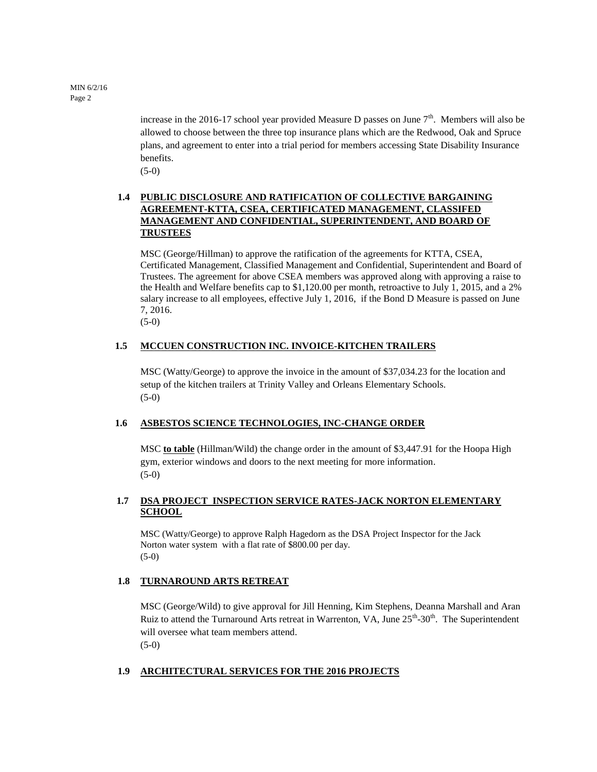MIN 6/2/16 Page 2

> increase in the 2016-17 school year provided Measure D passes on June  $7<sup>th</sup>$ . Members will also be allowed to choose between the three top insurance plans which are the Redwood, Oak and Spruce plans, and agreement to enter into a trial period for members accessing State Disability Insurance benefits.

(5-0)

## **1.4 PUBLIC DISCLOSURE AND RATIFICATION OF COLLECTIVE BARGAINING AGREEMENT-KTTA, CSEA, CERTIFICATED MANAGEMENT, CLASSIFED MANAGEMENT AND CONFIDENTIAL, SUPERINTENDENT, AND BOARD OF TRUSTEES**

MSC (George/Hillman) to approve the ratification of the agreements for KTTA, CSEA, Certificated Management, Classified Management and Confidential, Superintendent and Board of Trustees. The agreement for above CSEA members was approved along with approving a raise to the Health and Welfare benefits cap to \$1,120.00 per month, retroactive to July 1, 2015, and a 2% salary increase to all employees, effective July 1, 2016, if the Bond D Measure is passed on June 7, 2016.

(5-0)

## **1.5 MCCUEN CONSTRUCTION INC. INVOICE-KITCHEN TRAILERS**

MSC (Watty/George) to approve the invoice in the amount of \$37,034.23 for the location and setup of the kitchen trailers at Trinity Valley and Orleans Elementary Schools. (5-0)

## **1.6 ASBESTOS SCIENCE TECHNOLOGIES, INC-CHANGE ORDER**

MSC **to table** (Hillman/Wild) the change order in the amount of \$3,447.91 for the Hoopa High gym, exterior windows and doors to the next meeting for more information. (5-0)

## **1.7 DSA PROJECT INSPECTION SERVICE RATES-JACK NORTON ELEMENTARY SCHOOL**

MSC (Watty/George) to approve Ralph Hagedorn as the DSA Project Inspector for the Jack Norton water system with a flat rate of \$800.00 per day. (5-0)

#### **1.8 TURNAROUND ARTS RETREAT**

MSC (George/Wild) to give approval for Jill Henning, Kim Stephens, Deanna Marshall and Aran Ruiz to attend the Turnaround Arts retreat in Warrenton, VA, June  $25<sup>th</sup>$ -30<sup>th</sup>. The Superintendent will oversee what team members attend. (5-0)

## **1.9 ARCHITECTURAL SERVICES FOR THE 2016 PROJECTS**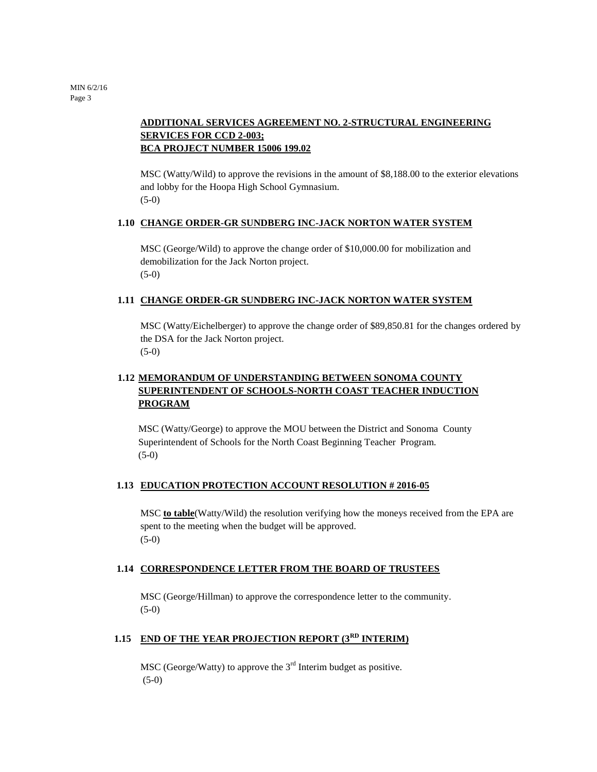## **ADDITIONAL SERVICES AGREEMENT NO. 2-STRUCTURAL ENGINEERING SERVICES FOR CCD 2-003; BCA PROJECT NUMBER 15006 199.02**

MSC (Watty/Wild) to approve the revisions in the amount of \$8,188.00 to the exterior elevations and lobby for the Hoopa High School Gymnasium. (5-0)

#### **1.10 CHANGE ORDER-GR SUNDBERG INC-JACK NORTON WATER SYSTEM**

MSC (George/Wild) to approve the change order of \$10,000.00 for mobilization and demobilization for the Jack Norton project. (5-0)

#### **1.11 CHANGE ORDER-GR SUNDBERG INC-JACK NORTON WATER SYSTEM**

MSC (Watty/Eichelberger) to approve the change order of \$89,850.81 for the changes ordered by the DSA for the Jack Norton project. (5-0)

## **1.12 MEMORANDUM OF UNDERSTANDING BETWEEN SONOMA COUNTY SUPERINTENDENT OF SCHOOLS-NORTH COAST TEACHER INDUCTION PROGRAM**

MSC (Watty/George) to approve the MOU between the District and Sonoma County Superintendent of Schools for the North Coast Beginning Teacher Program. (5-0)

#### **1.13 EDUCATION PROTECTION ACCOUNT RESOLUTION # 2016-05**

MSC **to table**(Watty/Wild) the resolution verifying how the moneys received from the EPA are spent to the meeting when the budget will be approved. (5-0)

#### **1.14 CORRESPONDENCE LETTER FROM THE BOARD OF TRUSTEES**

MSC (George/Hillman) to approve the correspondence letter to the community. (5-0)

## **1.15 END OF THE YEAR PROJECTION REPORT (3RD INTERIM)**

MSC (George/Watty) to approve the  $3<sup>rd</sup>$  Interim budget as positive. (5-0)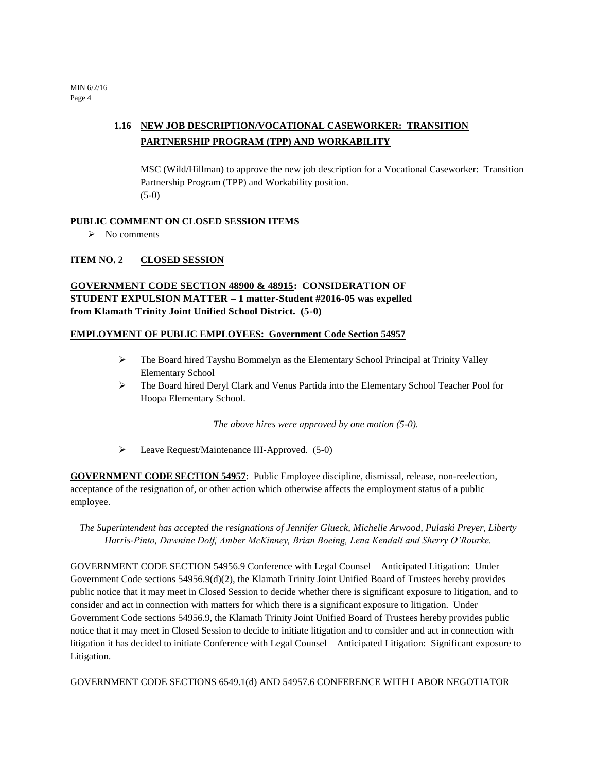MIN 6/2/16 Page 4

## **1.16 NEW JOB DESCRIPTION/VOCATIONAL CASEWORKER: TRANSITION PARTNERSHIP PROGRAM (TPP) AND WORKABILITY**

MSC (Wild/Hillman) to approve the new job description for a Vocational Caseworker: Transition Partnership Program (TPP) and Workability position.  $(5-0)$ 

#### **PUBLIC COMMENT ON CLOSED SESSION ITEMS**

 $\triangleright$  No comments

## **ITEM NO. 2 CLOSED SESSION**

## **GOVERNMENT CODE SECTION 48900 & 48915: CONSIDERATION OF STUDENT EXPULSION MATTER – 1 matter-Student #2016-05 was expelled from Klamath Trinity Joint Unified School District. (5-0)**

#### **EMPLOYMENT OF PUBLIC EMPLOYEES: Government Code Section 54957**

- $\triangleright$  The Board hired Tayshu Bommelyn as the Elementary School Principal at Trinity Valley Elementary School
- The Board hired Deryl Clark and Venus Partida into the Elementary School Teacher Pool for Hoopa Elementary School.

*The above hires were approved by one motion (5-0).*

Leave Request/Maintenance III-Approved. (5-0)

**GOVERNMENT CODE SECTION 54957**: Public Employee discipline, dismissal, release, non-reelection, acceptance of the resignation of, or other action which otherwise affects the employment status of a public employee.

*The Superintendent has accepted the resignations of Jennifer Glueck, Michelle Arwood, Pulaski Preyer, Liberty Harris-Pinto, Dawnine Dolf, Amber McKinney, Brian Boeing, Lena Kendall and Sherry O'Rourke.* 

GOVERNMENT CODE SECTION 54956.9 Conference with Legal Counsel – Anticipated Litigation: Under Government Code sections 54956.9(d)(2), the Klamath Trinity Joint Unified Board of Trustees hereby provides public notice that it may meet in Closed Session to decide whether there is significant exposure to litigation, and to consider and act in connection with matters for which there is a significant exposure to litigation. Under Government Code sections 54956.9, the Klamath Trinity Joint Unified Board of Trustees hereby provides public notice that it may meet in Closed Session to decide to initiate litigation and to consider and act in connection with litigation it has decided to initiate Conference with Legal Counsel – Anticipated Litigation: Significant exposure to Litigation.

GOVERNMENT CODE SECTIONS 6549.1(d) AND 54957.6 CONFERENCE WITH LABOR NEGOTIATOR